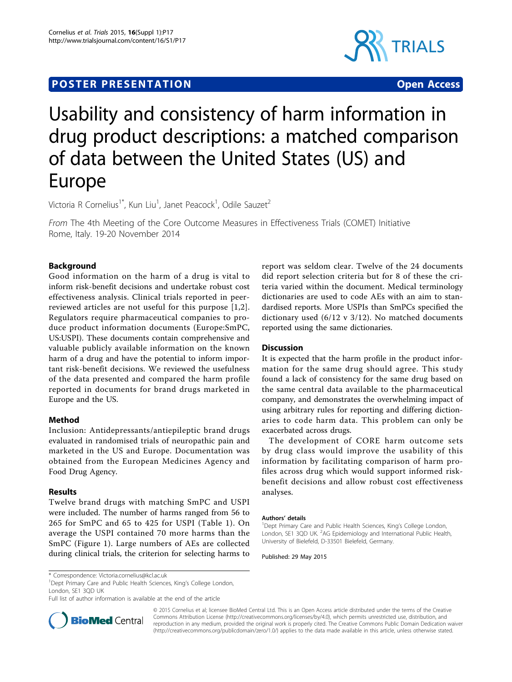# **POSTER PRESENTATION CONSUMING ACCESS**



# Usability and consistency of harm information in drug product descriptions: a matched comparison of data between the United States (US) and Europe

Victoria R Cornelius<sup>1\*</sup>, Kun Liu<sup>1</sup>, Janet Peacock<sup>1</sup>, Odile Sauzet<sup>2</sup>

From The 4th Meeting of the Core Outcome Measures in Effectiveness Trials (COMET) Initiative Rome, Italy. 19-20 November 2014

## Background

Good information on the harm of a drug is vital to inform risk-benefit decisions and undertake robust cost effectiveness analysis. Clinical trials reported in peerreviewed articles are not useful for this purpose [\[1,2\]](#page-1-0). Regulators require pharmaceutical companies to produce product information documents (Europe:SmPC, US:USPI). These documents contain comprehensive and valuable publicly available information on the known harm of a drug and have the potential to inform important risk-benefit decisions. We reviewed the usefulness of the data presented and compared the harm profile reported in documents for brand drugs marketed in Europe and the US.

### Method

Inclusion: Antidepressants/antiepileptic brand drugs evaluated in randomised trials of neuropathic pain and marketed in the US and Europe. Documentation was obtained from the European Medicines Agency and Food Drug Agency.

### Results

Twelve brand drugs with matching SmPC and USPI were included. The number of harms ranged from 56 to 265 for SmPC and 65 to 425 for USPI (Table [1\)](#page-1-0). On average the USPI contained 70 more harms than the SmPC (Figure [1\)](#page-1-0). Large numbers of AEs are collected during clinical trials, the criterion for selecting harms to

report was seldom clear. Twelve of the 24 documents did report selection criteria but for 8 of these the criteria varied within the document. Medical terminology dictionaries are used to code AEs with an aim to standardised reports. More USPIs than SmPCs specified the dictionary used (6/12 v 3/12). No matched documents reported using the same dictionaries.

## **Discussion**

It is expected that the harm profile in the product information for the same drug should agree. This study found a lack of consistency for the same drug based on the same central data available to the pharmaceutical company, and demonstrates the overwhelming impact of using arbitrary rules for reporting and differing dictionaries to code harm data. This problem can only be exacerbated across drugs.

The development of CORE harm outcome sets by drug class would improve the usability of this information by facilitating comparison of harm profiles across drug which would support informed riskbenefit decisions and allow robust cost effectiveness analyses.

#### Authors' details <sup>1</sup>

<sup>1</sup> Dept Primary Care and Public Health Sciences, King's College London, London, SE1 3QD UK. <sup>2</sup>AG Epidemiology and International Public Health, University of Bielefeld, D-33501 Bielefeld, Germany.

Published: 29 May 2015

<sup>1</sup>Dept Primary Care and Public Health Sciences, King's College London, London, SE1 3QD UK

Full list of author information is available at the end of the article



© 2015 Cornelius et al; licensee BioMed Central Ltd. This is an Open Access article distributed under the terms of the Creative Commons Attribution License [\(http://creativecommons.org/licenses/by/4.0](http://creativecommons.org/licenses/by/4.0)), which permits unrestricted use, distribution, and reproduction in any medium, provided the original work is properly cited. The Creative Commons Public Domain Dedication waiver [\(http://creativecommons.org/publicdomain/zero/1.0/](http://creativecommons.org/publicdomain/zero/1.0/)) applies to the data made available in this article, unless otherwise stated.

<sup>\*</sup> Correspondence: [Victoria.cornelius@kcl.ac.uk](mailto:Victoria.cornelius@kcl.ac.uk)